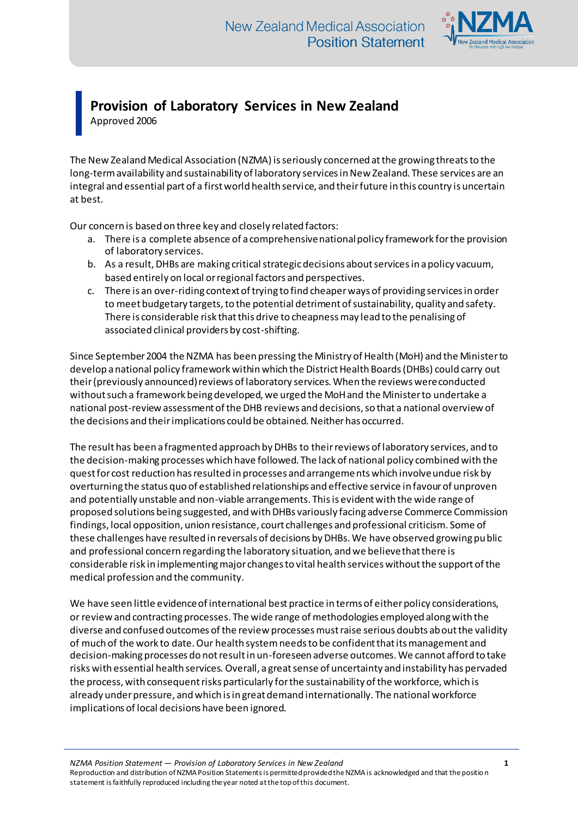

## **Provision of Laboratory Services in New Zealand** Approved 2006

The New Zealand Medical Association (NZMA) is seriously concerned at the growing threats to the long-term availability and sustainability of laboratory services in New Zealand. These services are an integral and essential part of a first world health service, and their future in this country is uncertain at best.

Our concern is based on three key and closely related factors:

- a. There is a complete absence of a comprehensive national policy framework for the provision of laboratory services.
- b. As a result, DHBs are making critical strategic decisions about services in a policy vacuum, based entirely on local or regional factors and perspectives.
- c. There is an over-riding context of trying to find cheaper ways of providing services in order to meet budgetary targets, to the potential detriment of sustainability, quality and safety. There is considerable risk that this drive to cheapness may lead to the penalising of associated clinical providers by cost-shifting.

Since September 2004 the NZMA has been pressing the Ministry of Health (MoH) and the Minister to develop a national policy framework within which the District Health Boards (DHBs) could carry out their (previously announced) reviews of laboratory services. When the reviews were conducted without such a framework being developed, we urged the MoH and the Minister to undertake a national post-review assessment of the DHB reviews and decisions, so that a national overview of the decisions and their implications could be obtained. Neither has occurred.

The result has been a fragmented approach by DHBs to their reviews of laboratory services, and to the decision-making processes which have followed. The lack of national policy combined with the quest for cost reduction has resulted in processes and arrangements which involve undue risk by overturning the status quo of established relationships and effective service in favour of unproven and potentially unstable and non-viable arrangements. This is evident with the wide range of proposed solutions being suggested, and with DHBs variously facing adverse Commerce Commission findings, local opposition, union resistance, court challenges and professional criticism. Some of these challenges have resulted in reversals of decisions by DHBs. We have observed growing public and professional concern regarding the laboratory situation, and we believe that there is considerable risk in implementing major changes to vital health services without the support of the medical profession and the community.

We have seen little evidence of international best practice in terms of either policy considerations, or review and contracting processes. The wide range of methodologies employed along with the diverse and confused outcomes of the review processes must raise serious doubts about the validity of much of the work to date. Our health system needs to be confident that its management and decision-making processes do not result in un-foreseen adverse outcomes. We cannot afford to take risks with essential health services. Overall, a great sense of uncertainty and instability has pervaded the process, with consequent risks particularly for the sustainability of the workforce, which is already under pressure, and which is in great demand internationally. The national workforce implications of local decisions have been ignored.